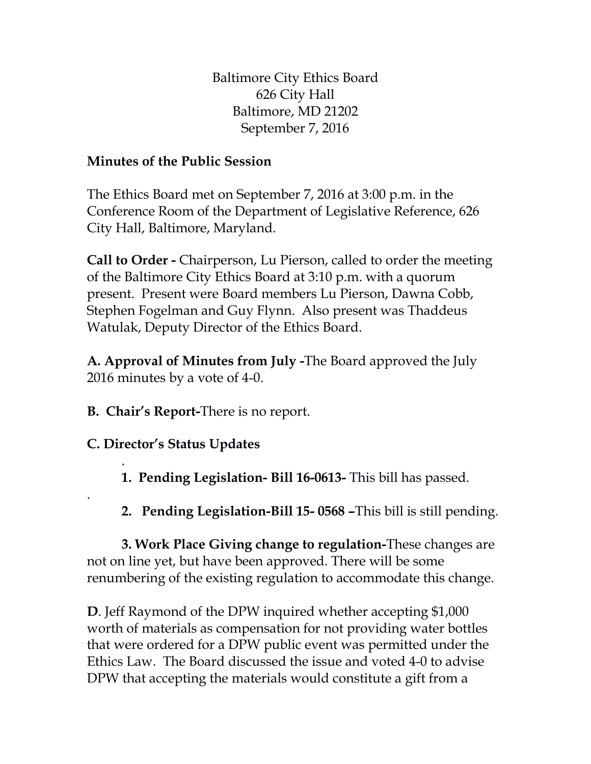Baltimore City Ethics Board 626 City Hall Baltimore, MD 21202 September 7, 2016

## **Minutes of the Public Session**

The Ethics Board met on September 7, 2016 at 3:00 p.m. in the Conference Room of the Department of Legislative Reference, 626 City Hall, Baltimore, Maryland.

**Call to Order -** Chairperson, Lu Pierson, called to order the meeting of the Baltimore City Ethics Board at 3:10 p.m. with a quorum present. Present were Board members Lu Pierson, Dawna Cobb, Stephen Fogelman and Guy Flynn. Also present was Thaddeus Watulak, Deputy Director of the Ethics Board.

**A. Approval of Minutes from July -**The Board approved the July 2016 minutes by a vote of 4-0.

**B. Chair's Report-**There is no report.

**C. Director's Status Updates**

.

. **1. Pending Legislation- Bill 16-0613-** This bill has passed.

**2. Pending Legislation-Bill 15- 0568 –**This bill is still pending.

**3. Work Place Giving change to regulation-**These changes are not on line yet, but have been approved. There will be some renumbering of the existing regulation to accommodate this change.

**D**. Jeff Raymond of the DPW inquired whether accepting \$1,000 worth of materials as compensation for not providing water bottles that were ordered for a DPW public event was permitted under the Ethics Law. The Board discussed the issue and voted 4-0 to advise DPW that accepting the materials would constitute a gift from a